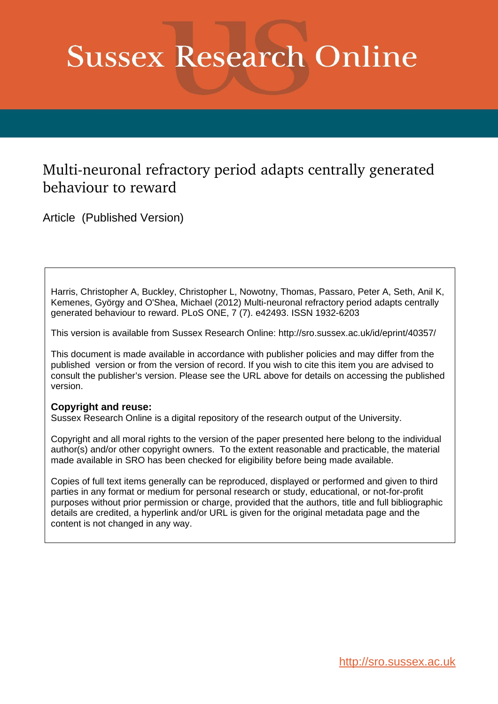# **Sussex Research Online**

## Multi-neuronal refractory period adapts centrally generated behaviour to reward

Article (Published Version)

Harris, Christopher A, Buckley, Christopher L, Nowotny, Thomas, Passaro, Peter A, Seth, Anil K, Kemenes, György and O'Shea, Michael (2012) Multi-neuronal refractory period adapts centrally generated behaviour to reward. PLoS ONE, 7 (7). e42493. ISSN 1932-6203

This version is available from Sussex Research Online: http://sro.sussex.ac.uk/id/eprint/40357/

This document is made available in accordance with publisher policies and may differ from the published version or from the version of record. If you wish to cite this item you are advised to consult the publisher's version. Please see the URL above for details on accessing the published version.

## **Copyright and reuse:**

Sussex Research Online is a digital repository of the research output of the University.

Copyright and all moral rights to the version of the paper presented here belong to the individual author(s) and/or other copyright owners. To the extent reasonable and practicable, the material made available in SRO has been checked for eligibility before being made available.

Copies of full text items generally can be reproduced, displayed or performed and given to third parties in any format or medium for personal research or study, educational, or not-for-profit purposes without prior permission or charge, provided that the authors, title and full bibliographic details are credited, a hyperlink and/or URL is given for the original metadata page and the content is not changed in any way.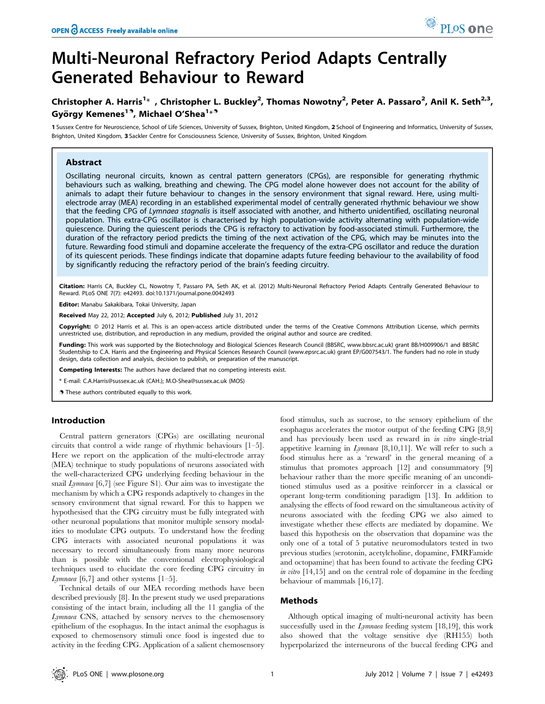# Multi-Neuronal Refractory Period Adapts Centrally Generated Behaviour to Reward

## Christopher A. Harris<sup>1\*</sup>, Christopher L. Buckley<sup>2</sup>, Thomas Nowotny<sup>2</sup>, Peter A. Passaro<sup>2</sup>, Anil K. Seth<sup>2,3</sup>, György Kemenes<sup>19</sup>, Michael O'Shea<sup>1</sup>\*<sup>9</sup>

1 Sussex Centre for Neuroscience, School of Life Sciences, University of Sussex, Brighton, United Kingdom, 2 School of Engineering and Informatics, University of Sussex, Brighton, United Kingdom, 3 Sackler Centre for Consciousness Science, University of Sussex, Brighton, United Kingdom

#### Abstract

Oscillating neuronal circuits, known as central pattern generators (CPGs), are responsible for generating rhythmic behaviours such as walking, breathing and chewing. The CPG model alone however does not account for the ability of animals to adapt their future behaviour to changes in the sensory environment that signal reward. Here, using multielectrode array (MEA) recording in an established experimental model of centrally generated rhythmic behaviour we show that the feeding CPG of Lymnaea stagnalis is itself associated with another, and hitherto unidentified, oscillating neuronal population. This extra-CPG oscillator is characterised by high population-wide activity alternating with population-wide quiescence. During the quiescent periods the CPG is refractory to activation by food-associated stimuli. Furthermore, the duration of the refractory period predicts the timing of the next activation of the CPG, which may be minutes into the future. Rewarding food stimuli and dopamine accelerate the frequency of the extra-CPG oscillator and reduce the duration of its quiescent periods. These findings indicate that dopamine adapts future feeding behaviour to the availability of food by significantly reducing the refractory period of the brain's feeding circuitry.

Citation: Harris CA, Buckley CL, Nowotny T, Passaro PA, Seth AK, et al. (2012) Multi-Neuronal Refractory Period Adapts Centrally Generated Behaviour to Reward. PLoS ONE 7(7): e42493. doi:10.1371/journal.pone.0042493

Editor: Manabu Sakakibara, Tokai University, Japan

Received May 22, 2012; Accepted July 6, 2012; Published July 31, 2012

Copyright: © 2012 Harris et al. This is an open-access article distributed under the terms of the Creative Commons Attribution License, which permits unrestricted use, distribution, and reproduction in any medium, provided the original author and source are credited.

Funding: This work was supported by the Biotechnology and Biological Sciences Research Council (BBSRC, www.bbsrc.ac.uk) grant BB/H009906/1 and BBSRC Studentship to C.A. Harris and the Engineering and Physical Sciences Research Council (www.epsrc.ac.uk) grant EP/G007543/1. The funders had no role in study design, data collection and analysis, decision to publish, or preparation of the manuscript.

Competing Interests: The authors have declared that no competing interests exist.

\* E-mail: C.A.Harris@sussex.ac.uk (CAH.); M.O-Shea@sussex.ac.uk (MOS)

. These authors contributed equally to this work.

#### Introduction

Central pattern generators (CPGs) are oscillating neuronal circuits that control a wide range of rhythmic behaviours [1–5]. Here we report on the application of the multi-electrode array (MEA) technique to study populations of neurons associated with the well-characterized CPG underlying feeding behaviour in the snail Lymnaea [6,7] (see Figure S1). Our aim was to investigate the mechanism by which a CPG responds adaptively to changes in the sensory environment that signal reward. For this to happen we hypothesised that the CPG circuitry must be fully integrated with other neuronal populations that monitor multiple sensory modalities to modulate CPG outputs. To understand how the feeding CPG interacts with associated neuronal populations it was necessary to record simultaneously from many more neurons than is possible with the conventional electrophysiological techniques used to elucidate the core feeding CPG circuitry in *Lymnaea* [6,7] and other systems  $[1-5]$ .

Technical details of our MEA recording methods have been described previously [8]. In the present study we used preparations consisting of the intact brain, including all the 11 ganglia of the Lymnaea CNS, attached by sensory nerves to the chemosensory epithelium of the esophagus. In the intact animal the esophagus is exposed to chemosensory stimuli once food is ingested due to activity in the feeding CPG. Application of a salient chemosensory food stimulus, such as sucrose, to the sensory epithelium of the esophagus accelerates the motor output of the feeding CPG [8,9] and has previously been used as reward in in vitro single-trial appetitive learning in Lymnaea [8,10,11]. We will refer to such a food stimulus here as a 'reward' in the general meaning of a stimulus that promotes approach [12] and consummatory [9] behaviour rather than the more specific meaning of an unconditioned stimulus used as a positive reinforcer in a classical or operant long-term conditioning paradigm [13]. In addition to analysing the effects of food reward on the simultaneous activity of neurons associated with the feeding CPG we also aimed to investigate whether these effects are mediated by dopamine. We based this hypothesis on the observation that dopamine was the only one of a total of 5 putative neuromodulators tested in two previous studies (serotonin, acetylcholine, dopamine, FMRFamide and octopamine) that has been found to activate the feeding CPG in vitro [14,15] and on the central role of dopamine in the feeding behaviour of mammals [16,17].

#### Methods

Although optical imaging of multi-neuronal activity has been successfully used in the *Lymnaea* feeding system [18,19], this work also showed that the voltage sensitive dye (RH155) both hyperpolarized the interneurons of the buccal feeding CPG and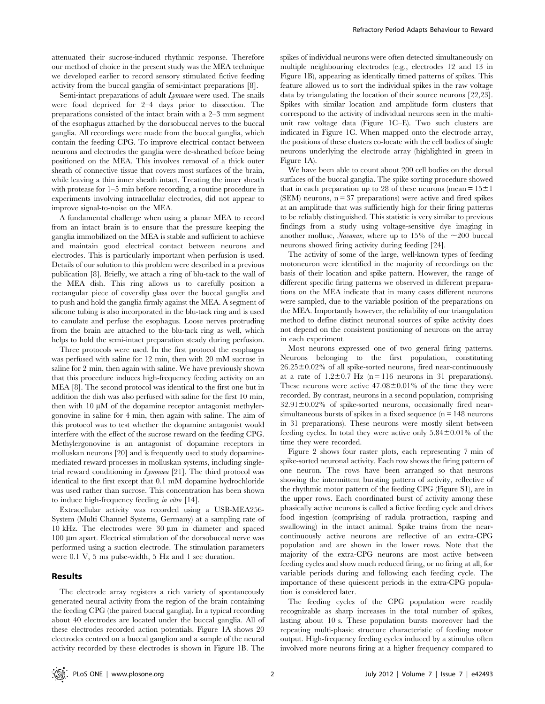attenuated their sucrose-induced rhythmic response. Therefore our method of choice in the present study was the MEA technique we developed earlier to record sensory stimulated fictive feeding activity from the buccal ganglia of semi-intact preparations [8].

Semi-intact preparations of adult Lymnaea were used. The snails were food deprived for 2–4 days prior to dissection. The preparations consisted of the intact brain with a 2–3 mm segment of the esophagus attached by the dorsobuccal nerves to the buccal ganglia. All recordings were made from the buccal ganglia, which contain the feeding CPG. To improve electrical contact between neurons and electrodes the ganglia were de-sheathed before being positioned on the MEA. This involves removal of a thick outer sheath of connective tissue that covers most surfaces of the brain, while leaving a thin inner sheath intact. Treating the inner sheath with protease for 1–5 min before recording, a routine procedure in experiments involving intracellular electrodes, did not appear to improve signal-to-noise on the MEA.

A fundamental challenge when using a planar MEA to record from an intact brain is to ensure that the pressure keeping the ganglia immobilized on the MEA is stable and sufficient to achieve and maintain good electrical contact between neurons and electrodes. This is particularly important when perfusion is used. Details of our solution to this problem were described in a previous publication [8]. Briefly, we attach a ring of blu-tack to the wall of the MEA dish. This ring allows us to carefully position a rectangular piece of coverslip glass over the buccal ganglia and to push and hold the ganglia firmly against the MEA. A segment of silicone tubing is also incorporated in the blu-tack ring and is used to canulate and perfuse the esophagus. Loose nerves protruding from the brain are attached to the blu-tack ring as well, which helps to hold the semi-intact preparation steady during perfusion.

Three protocols were used. In the first protocol the esophagus was perfused with saline for 12 min, then with 20 mM sucrose in saline for 2 min, then again with saline. We have previously shown that this procedure induces high-frequency feeding activity on an MEA [8]. The second protocol was identical to the first one but in addition the dish was also perfused with saline for the first 10 min, then with  $10 \mu M$  of the dopamine receptor antagonist methylergonovine in saline for 4 min, then again with saline. The aim of this protocol was to test whether the dopamine antagonist would interfere with the effect of the sucrose reward on the feeding CPG. Methylergonovine is an antagonist of dopamine receptors in molluskan neurons [20] and is frequently used to study dopaminemediated reward processes in molluskan systems, including singletrial reward conditioning in Lymnaea [21]. The third protocol was identical to the first except that 0.1 mM dopamine hydrochloride was used rather than sucrose. This concentration has been shown to induce high-frequency feeding in vitro [14].

Extracellular activity was recorded using a USB-MEA256- System (Multi Channel Systems, Germany) at a sampling rate of 10 kHz. The electrodes were 30  $\mu$ m in diameter and spaced 100 µm apart. Electrical stimulation of the dorsobuccal nerve was performed using a suction electrode. The stimulation parameters were 0.1 V, 5 ms pulse-width, 5 Hz and 1 sec duration.

#### Results

The electrode array registers a rich variety of spontaneously generated neural activity from the region of the brain containing the feeding CPG (the paired buccal ganglia). In a typical recording about 40 electrodes are located under the buccal ganglia. All of these electrodes recorded action potentials. Figure 1A shows 20 electrodes centred on a buccal ganglion and a sample of the neural activity recorded by these electrodes is shown in Figure 1B. The

spikes of individual neurons were often detected simultaneously on multiple neighbouring electrodes (e.g., electrodes 12 and 13 in Figure 1B), appearing as identically timed patterns of spikes. This feature allowed us to sort the individual spikes in the raw voltage data by triangulating the location of their source neurons [22,23]. Spikes with similar location and amplitude form clusters that correspond to the activity of individual neurons seen in the multiunit raw voltage data (Figure 1C–E). Two such clusters are indicated in Figure 1C. When mapped onto the electrode array, the positions of these clusters co-locate with the cell bodies of single neurons underlying the electrode array (highlighted in green in Figure 1A).

We have been able to count about 200 cell bodies on the dorsal surfaces of the buccal ganglia. The spike sorting procedure showed that in each preparation up to 28 of these neurons (mean =  $15 \pm 1$ )  $(SEM)$  neurons,  $n = 37$  preparations) were active and fired spikes at an amplitude that was sufficiently high for their firing patterns to be reliably distinguished. This statistic is very similar to previous findings from a study using voltage-sensitive dye imaging in another mollusc, Navanax, where up to 15% of the  $\sim$ 200 buccal neurons showed firing activity during feeding [24].

The activity of some of the large, well-known types of feeding motoneuron were identified in the majority of recordings on the basis of their location and spike pattern. However, the range of different specific firing patterns we observed in different preparations on the MEA indicate that in many cases different neurons were sampled, due to the variable position of the preparations on the MEA. Importantly however, the reliability of our triangulation method to define distinct neuronal sources of spike activity does not depend on the consistent positioning of neurons on the array in each experiment.

Most neurons expressed one of two general firing patterns. Neurons belonging to the first population, constituting  $26.25\pm0.02\%$  of all spike-sorted neurons, fired near-continuously at a rate of  $1.2 \pm 0.7$  Hz (n = 116 neurons in 31 preparations). These neurons were active  $47.08 \pm 0.01\%$  of the time they were recorded. By contrast, neurons in a second population, comprising  $32.91 \pm 0.02\%$  of spike-sorted neurons, occasionally fired nearsimultaneous bursts of spikes in a fixed sequence  $(n = 148$  neurons in 31 preparations). These neurons were mostly silent between feeding cycles. In total they were active only  $5.84\pm0.01\%$  of the time they were recorded.

Figure 2 shows four raster plots, each representing 7 min of spike-sorted neuronal activity. Each row shows the firing pattern of one neuron. The rows have been arranged so that neurons showing the intermittent bursting pattern of activity, reflective of the rhythmic motor pattern of the feeding CPG (Figure S1), are in the upper rows. Each coordinated burst of activity among these phasically active neurons is called a fictive feeding cycle and drives food ingestion (comprising of radula protraction, rasping and swallowing) in the intact animal. Spike trains from the nearcontinuously active neurons are reflective of an extra-CPG population and are shown in the lower rows. Note that the majority of the extra-CPG neurons are most active between feeding cycles and show much reduced firing, or no firing at all, for variable periods during and following each feeding cycle. The importance of these quiescent periods in the extra-CPG population is considered later.

The feeding cycles of the CPG population were readily recognizable as sharp increases in the total number of spikes, lasting about 10 s. These population bursts moreover had the repeating multi-phasic structure characteristic of feeding motor output. High-frequency feeding cycles induced by a stimulus often involved more neurons firing at a higher frequency compared to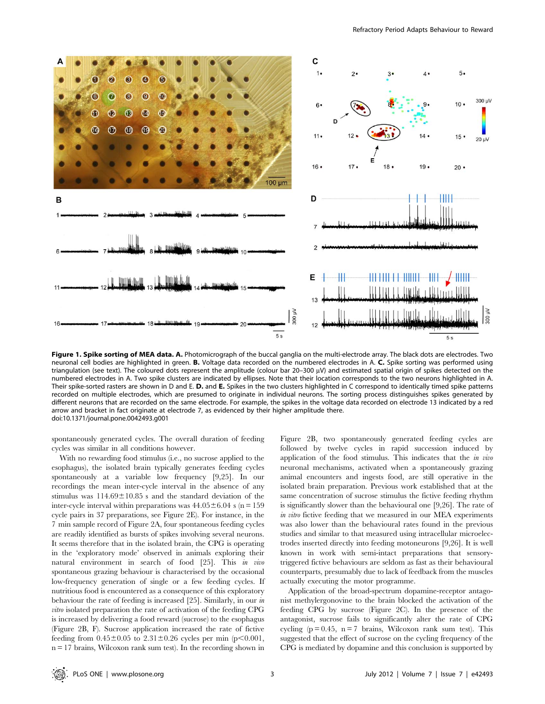

Figure 1. Spike sorting of MEA data. A. Photomicrograph of the buccal ganglia on the multi-electrode array. The black dots are electrodes. Two neuronal cell bodies are highlighted in green. B. Voltage data recorded on the numbered electrodes in A. C. Spike sorting was performed using triangulation (see text). The coloured dots represent the amplitude (colour bar 20–300 uV) and estimated spatial origin of spikes detected on the numbered electrodes in A. Two spike clusters are indicated by ellipses. Note that their location corresponds to the two neurons highlighted in A. Their spike-sorted rasters are shown in D and E. D. and E. Spikes in the two clusters highlighted in C correspond to identically timed spike patterns recorded on multiple electrodes, which are presumed to originate in individual neurons. The sorting process distinguishes spikes generated by different neurons that are recorded on the same electrode. For example, the spikes in the voltage data recorded on electrode 13 indicated by a red arrow and bracket in fact originate at electrode 7, as evidenced by their higher amplitude there. doi:10.1371/journal.pone.0042493.g001

spontaneously generated cycles. The overall duration of feeding cycles was similar in all conditions however.

With no rewarding food stimulus (i.e., no sucrose applied to the esophagus), the isolated brain typically generates feeding cycles spontaneously at a variable low frequency [9,25]. In our recordings the mean inter-cycle interval in the absence of any stimulus was  $114.69 \pm 10.85$  s and the standard deviation of the inter-cycle interval within preparations was  $44.05 \pm 6.04$  s (n = 159 cycle pairs in 37 preparations, see Figure 2E). For instance, in the 7 min sample record of Figure 2A, four spontaneous feeding cycles are readily identified as bursts of spikes involving several neurons. It seems therefore that in the isolated brain, the CPG is operating in the 'exploratory mode' observed in animals exploring their natural environment in search of food [25]. This in vivo spontaneous grazing behaviour is characterised by the occasional low-frequency generation of single or a few feeding cycles. If nutritious food is encountered as a consequence of this exploratory behaviour the rate of feeding is increased [25]. Similarly, in our in vitro isolated preparation the rate of activation of the feeding CPG is increased by delivering a food reward (sucrose) to the esophagus (Figure 2B, F). Sucrose application increased the rate of fictive feeding from  $0.45 \pm 0.05$  to  $2.31 \pm 0.26$  cycles per min (p $\leq 0.001$ ,  $n = 17$  brains, Wilcoxon rank sum test). In the recording shown in

Figure 2B, two spontaneously generated feeding cycles are followed by twelve cycles in rapid succession induced by application of the food stimulus. This indicates that the in vivo neuronal mechanisms, activated when a spontaneously grazing animal encounters and ingests food, are still operative in the isolated brain preparation. Previous work established that at the same concentration of sucrose stimulus the fictive feeding rhythm is significantly slower than the behavioural one [9,26]. The rate of in vitro fictive feeding that we measured in our MEA experiments was also lower than the behavioural rates found in the previous studies and similar to that measured using intracellular microelectrodes inserted directly into feeding motoneurons [9,26]. It is well known in work with semi-intact preparations that sensorytriggered fictive behaviours are seldom as fast as their behavioural counterparts, presumably due to lack of feedback from the muscles actually executing the motor programme.

Application of the broad-spectrum dopamine-receptor antagonist methylergonovine to the brain blocked the activation of the feeding CPG by sucrose (Figure 2C). In the presence of the antagonist, sucrose fails to significantly alter the rate of CPG cycling  $(p = 0.45, n = 7$  brains, Wilcoxon rank sum test). This suggested that the effect of sucrose on the cycling frequency of the CPG is mediated by dopamine and this conclusion is supported by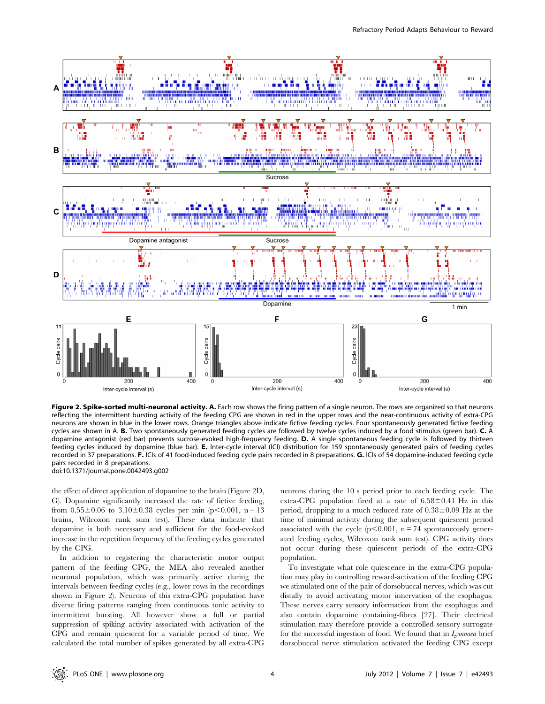

Figure 2. Spike-sorted multi-neuronal activity. A. Each row shows the firing pattern of a single neuron. The rows are organized so that neurons reflecting the intermittent bursting activity of the feeding CPG are shown in red in the upper rows and the near-continuous activity of extra-CPG neurons are shown in blue in the lower rows. Orange triangles above indicate fictive feeding cycles. Four spontaneously generated fictive feeding cycles are shown in A. B. Two spontaneously generated feeding cycles are followed by twelve cycles induced by a food stimulus (green bar). C. A dopamine antagonist (red bar) prevents sucrose-evoked high-frequency feeding. D. A single spontaneous feeding cycle is followed by thirteen feeding cycles induced by dopamine (blue bar). E. Inter-cycle interval (ICI) distribution for 159 spontaneously generated pairs of feeding cycles recorded in 37 preparations. F. ICIs of 41 food-induced feeding cycle pairs recorded in 8 preparations. G. ICIs of 54 dopamine-induced feeding cycle pairs recorded in 8 preparations. doi:10.1371/journal.pone.0042493.g002

the effect of direct application of dopamine to the brain (Figure 2D, G). Dopamine significantly increased the rate of fictive feeding, from  $0.55\pm0.06$  to  $3.10\pm0.38$  cycles per min (p $< 0.001$ , n = 13 brains, Wilcoxon rank sum test). These data indicate that dopamine is both necessary and sufficient for the food-evoked increase in the repetition frequency of the feeding cycles generated by the CPG.

In addition to registering the characteristic motor output pattern of the feeding CPG, the MEA also revealed another neuronal population, which was primarily active during the intervals between feeding cycles (e.g., lower rows in the recordings shown in Figure 2). Neurons of this extra-CPG population have diverse firing patterns ranging from continuous tonic activity to intermittent bursting. All however show a full or partial suppression of spiking activity associated with activation of the CPG and remain quiescent for a variable period of time. We calculated the total number of spikes generated by all extra-CPG

neurons during the 10 s period prior to each feeding cycle. The extra-CPG population fired at a rate of  $6.58 \pm 0.41$  Hz in this period, dropping to a much reduced rate of  $0.38\pm0.09$  Hz at the time of minimal activity during the subsequent quiescent period associated with the cycle  $(p<0.001, n = 74$  spontaneously generated feeding cycles, Wilcoxon rank sum test). CPG activity does not occur during these quiescent periods of the extra-CPG population.

To investigate what role quiescence in the extra-CPG population may play in controlling reward-activation of the feeding CPG we stimulated one of the pair of dorsobuccal nerves, which was cut distally to avoid activating motor innervation of the esophagus. These nerves carry sensory information from the esophagus and also contain dopamine containing-fibres [27]. Their electrical stimulation may therefore provide a controlled sensory surrogate for the successful ingestion of food. We found that in Lymnaea brief dorsobuccal nerve stimulation activated the feeding CPG except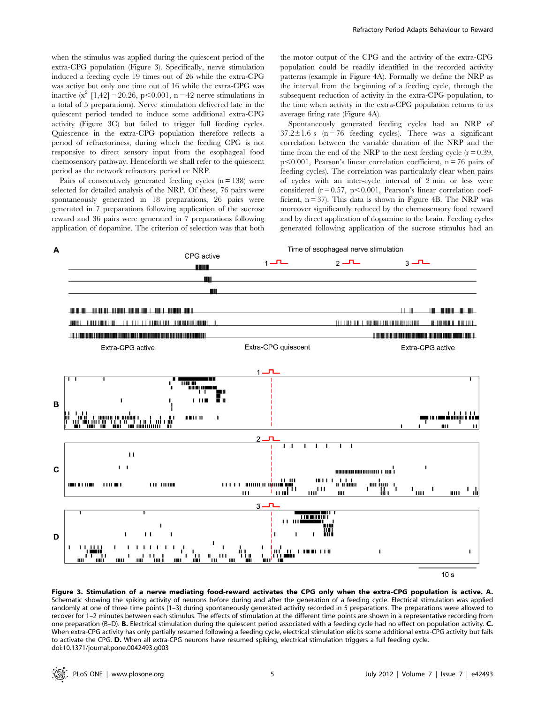when the stimulus was applied during the quiescent period of the extra-CPG population (Figure 3). Specifically, nerve stimulation induced a feeding cycle 19 times out of 26 while the extra-CPG was active but only one time out of 16 while the extra-CPG was inactive  $(x^2 \t[1,42] = 20.26, p < 0.001, n = 42$  nerve stimulations in a total of 5 preparations). Nerve stimulation delivered late in the quiescent period tended to induce some additional extra-CPG activity (Figure 3C) but failed to trigger full feeding cycles. Quiescence in the extra-CPG population therefore reflects a period of refractoriness, during which the feeding CPG is not responsive to direct sensory input from the esophageal food chemosensory pathway. Henceforth we shall refer to the quiescent period as the network refractory period or NRP.

Pairs of consecutively generated feeding cycles  $(n = 138)$  were selected for detailed analysis of the NRP. Of these, 76 pairs were spontaneously generated in 18 preparations, 26 pairs were generated in 7 preparations following application of the sucrose reward and 36 pairs were generated in 7 preparations following application of dopamine. The criterion of selection was that both the motor output of the CPG and the activity of the extra-CPG population could be readily identified in the recorded activity patterns (example in Figure 4A). Formally we define the NRP as the interval from the beginning of a feeding cycle, through the subsequent reduction of activity in the extra-CPG population, to the time when activity in the extra-CPG population returns to its average firing rate (Figure 4A).

Spontaneously generated feeding cycles had an NRP of  $37.2 \pm 1.6$  s (n = 76 feeding cycles). There was a significant correlation between the variable duration of the NRP and the time from the end of the NRP to the next feeding cycle  $(r = 0.39)$ ,  $p<0.001$ , Pearson's linear correlation coefficient, n = 76 pairs of feeding cycles). The correlation was particularly clear when pairs of cycles with an inter-cycle interval of 2 min or less were considered  $(r = 0.57, p < 0.001,$  Pearson's linear correlation coefficient,  $n = 37$ ). This data is shown in Figure 4B. The NRP was moreover significantly reduced by the chemosensory food reward and by direct application of dopamine to the brain. Feeding cycles generated following application of the sucrose stimulus had an



Figure 3. Stimulation of a nerve mediating food-reward activates the CPG only when the extra-CPG population is active. A. Schematic showing the spiking activity of neurons before during and after the generation of a feeding cycle. Electrical stimulation was applied randomly at one of three time points (1–3) during spontaneously generated activity recorded in 5 preparations. The preparations were allowed to recover for 1–2 minutes between each stimulus. The effects of stimulation at the different time points are shown in a representative recording from one preparation (B–D). **B.** Electrical stimulation during the quiescent period associated with a feeding cycle had no effect on population activity. C. When extra-CPG activity has only partially resumed following a feeding cycle, electrical stimulation elicits some additional extra-CPG activity but fails to activate the CPG. D. When all extra-CPG neurons have resumed spiking, electrical stimulation triggers a full feeding cycle. doi:10.1371/journal.pone.0042493.g003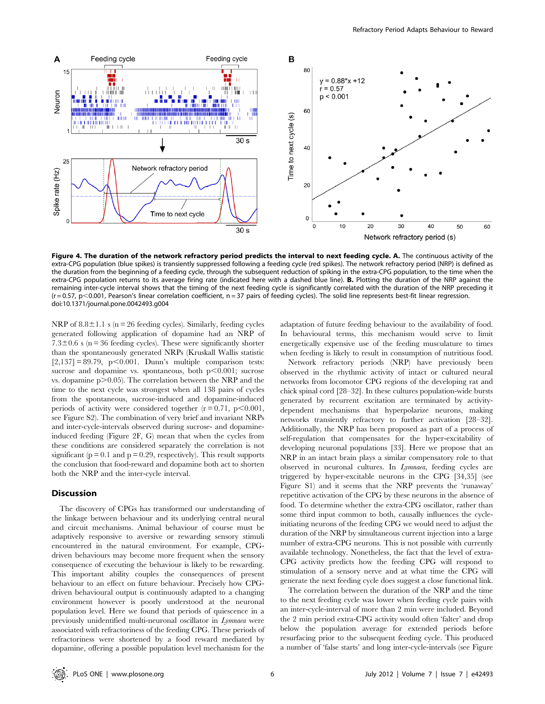

Figure 4. The duration of the network refractory period predicts the interval to next feeding cycle. A. The continuous activity of the extra-CPG population (blue spikes) is transiently suppressed following a feeding cycle (red spikes). The network refractory period (NRP) is defined as the duration from the beginning of a feeding cycle, through the subsequent reduction of spiking in the extra-CPG population, to the time when the extra-CPG population returns to its average firing rate (indicated here with a dashed blue line). B. Plotting the duration of the NRP against the remaining inter-cycle interval shows that the timing of the next feeding cycle is significantly correlated with the duration of the NRP preceding it  $(r = 0.57, p < 0.001,$  Pearson's linear correlation coefficient, n = 37 pairs of feeding cycles). The solid line represents best-fit linear regression. doi:10.1371/journal.pone.0042493.g004

NRP of  $8.8 \pm 1.1$  s (n = 26 feeding cycles). Similarly, feeding cycles generated following application of dopamine had an NRP of 7.3 $\pm$ 0.6 s (n = 36 feeding cycles). These were significantly shorter than the spontaneously generated NRPs (Kruskall Wallis statistic  $[2,137] = 89.79$ , p $< 0.001$ . Dunn's multiple comparison tests: sucrose and dopamine vs. spontaneous, both  $p<0.001$ ; sucrose vs. dopamine  $p > 0.05$ . The correlation between the NRP and the time to the next cycle was strongest when all 138 pairs of cycles from the spontaneous, sucrose-induced and dopamine-induced periods of activity were considered together  $(r = 0.71, p < 0.001,$ see Figure S2). The combination of very brief and invariant NRPs and inter-cycle-intervals observed during sucrose- and dopamineinduced feeding (Figure 2F, G) mean that when the cycles from these conditions are considered separately the correlation is not significant ( $p = 0.1$  and  $p = 0.29$ , respectively). This result supports the conclusion that food-reward and dopamine both act to shorten both the NRP and the inter-cycle interval.

#### Discussion

The discovery of CPGs has transformed our understanding of the linkage between behaviour and its underlying central neural and circuit mechanisms. Animal behaviour of course must be adaptively responsive to aversive or rewarding sensory stimuli encountered in the natural environment. For example, CPGdriven behaviours may become more frequent when the sensory consequence of executing the behaviour is likely to be rewarding. This important ability couples the consequences of present behaviour to an effect on future behaviour. Precisely how CPGdriven behavioural output is continuously adapted to a changing environment however is poorly understood at the neuronal population level. Here we found that periods of quiescence in a previously unidentified multi-neuronal oscillator in Lymnaea were associated with refractoriness of the feeding CPG. These periods of refractoriness were shortened by a food reward mediated by dopamine, offering a possible population level mechanism for the

adaptation of future feeding behaviour to the availability of food. In behavioural terms, this mechanism would serve to limit energetically expensive use of the feeding musculature to times when feeding is likely to result in consumption of nutritious food.

Network refractory periods (NRP) have previously been observed in the rhythmic activity of intact or cultured neural networks from locomotor CPG regions of the developing rat and chick spinal cord [28–32]. In these cultures population-wide bursts generated by recurrent excitation are terminated by activitydependent mechanisms that hyperpolarize neurons, making networks transiently refractory to further activation [28–32]. Additionally, the NRP has been proposed as part of a process of self-regulation that compensates for the hyper-excitability of developing neuronal populations [33]. Here we propose that an NRP in an intact brain plays a similar compensatory role to that observed in neuronal cultures. In Lymnaea, feeding cycles are triggered by hyper-excitable neurons in the CPG [34,35] (see Figure S1) and it seems that the NRP prevents the 'runaway' repetitive activation of the CPG by these neurons in the absence of food. To determine whether the extra-CPG oscillator, rather than some third input common to both, causally influences the cycleinitiating neurons of the feeding CPG we would need to adjust the duration of the NRP by simultaneous current injection into a large number of extra-CPG neurons. This is not possible with currently available technology. Nonetheless, the fact that the level of extra-CPG activity predicts how the feeding CPG will respond to stimulation of a sensory nerve and at what time the CPG will generate the next feeding cycle does suggest a close functional link.

The correlation between the duration of the NRP and the time to the next feeding cycle was lower when feeding cycle pairs with an inter-cycle-interval of more than 2 min were included. Beyond the 2 min period extra-CPG activity would often 'falter' and drop below the population average for extended periods before resurfacing prior to the subsequent feeding cycle. This produced a number of 'false starts' and long inter-cycle-intervals (see Figure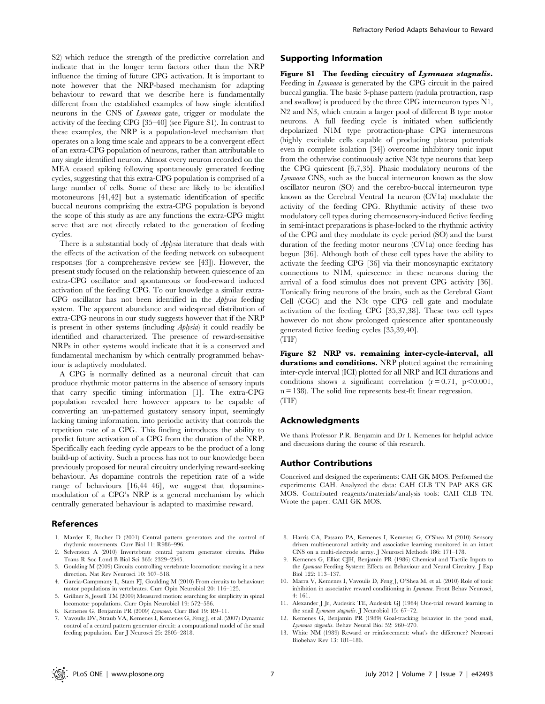S2) which reduce the strength of the predictive correlation and indicate that in the longer term factors other than the NRP influence the timing of future CPG activation. It is important to note however that the NRP-based mechanism for adapting behaviour to reward that we describe here is fundamentally different from the established examples of how single identified neurons in the CNS of Lymnaea gate, trigger or modulate the activity of the feeding CPG [35–40] (see Figure S1). In contrast to these examples, the NRP is a population-level mechanism that operates on a long time scale and appears to be a convergent effect of an extra-CPG population of neurons, rather than attributable to any single identified neuron. Almost every neuron recorded on the MEA ceased spiking following spontaneously generated feeding cycles, suggesting that this extra-CPG population is comprised of a large number of cells. Some of these are likely to be identified motoneurons [41,42] but a systematic identification of specific buccal neurons comprising the extra-CPG population is beyond the scope of this study as are any functions the extra-CPG might serve that are not directly related to the generation of feeding cycles.

There is a substantial body of Aplysia literature that deals with the effects of the activation of the feeding network on subsequent responses (for a comprehensive review see [43]). However, the present study focused on the relationship between quiescence of an extra-CPG oscillator and spontaneous or food-reward induced activation of the feeding CPG. To our knowledge a similar extra-CPG oscillator has not been identified in the Aplysia feeding system. The apparent abundance and widespread distribution of extra-CPG neurons in our study suggests however that if the NRP is present in other systems (including Aplysia) it could readily be identified and characterized. The presence of reward-sensitive NRPs in other systems would indicate that it is a conserved and fundamental mechanism by which centrally programmed behaviour is adaptively modulated.

A CPG is normally defined as a neuronal circuit that can produce rhythmic motor patterns in the absence of sensory inputs that carry specific timing information [1]. The extra-CPG population revealed here however appears to be capable of converting an un-patterned gustatory sensory input, seemingly lacking timing information, into periodic activity that controls the repetition rate of a CPG. This finding introduces the ability to predict future activation of a CPG from the duration of the NRP. Specifically each feeding cycle appears to be the product of a long build-up of activity. Such a process has not to our knowledge been previously proposed for neural circuitry underlying reward-seeking behaviour. As dopamine controls the repetition rate of a wide range of behaviours [16,44–46], we suggest that dopaminemodulation of a CPG's NRP is a general mechanism by which centrally generated behaviour is adapted to maximise reward.

#### References

- 1. Marder E, Bucher D (2001) Central pattern generators and the control of rhythmic movements. Curr Biol 11: R986–996.
- 2. Selverston A (2010) Invertebrate central pattern generator circuits. Philos Trans R Soc Lond B Biol Sci 365: 2329–2345.
- 3. Goulding M (2009) Circuits controlling vertebrate locomotion: moving in a new direction. Nat Rev Neurosci 10: 507–518.
- 4. Garcia-Campmany L, Stam FJ, Goulding M (2010) From circuits to behaviour: motor populations in vertebrates. Curr Opin Neurobiol 20: 116–125.
- 5. Grillner S, Jessell TM (2009) Measured motion: searching for simplicity in spinal locomotor populations. Curr Opin Neurobiol 19: 572–586.
- 6. Kemenes G, Benjamin PR (2009) Lymnaea. Curr Biol 19: R9–11.
- 7. Vavoulis DV, Straub VA, Kemenes I, Kemenes G, Feng J, et al. (2007) Dynamic control of a central pattern generator circuit: a computational model of the snail feeding population. Eur J Neurosci 25: 2805–2818.

#### Supporting Information

Figure S1 The feeding circuitry of Lymnaea stagnalis. Feeding in Lymnaea is generated by the CPG circuit in the paired buccal ganglia. The basic 3-phase pattern (radula protraction, rasp and swallow) is produced by the three CPG interneuron types N1, N2 and N3, which entrain a larger pool of different B type motor neurons. A full feeding cycle is initiated when sufficiently depolarized N1M type protraction-phase CPG interneurons (highly excitable cells capable of producing plateau potentials even in complete isolation [34]) overcome inhibitory tonic input from the otherwise continuously active N3t type neurons that keep the CPG quiescent [6,7,35]. Phasic modulatory neurons of the Lymnaea CNS, such as the buccal interneuron known as the slow oscillator neuron (SO) and the cerebro-buccal interneuron type known as the Cerebral Ventral 1a neuron (CV1a) modulate the activity of the feeding CPG. Rhythmic activity of these two modulatory cell types during chemosensory-induced fictive feeding in semi-intact preparations is phase-locked to the rhythmic activity of the CPG and they modulate its cycle period (SO) and the burst duration of the feeding motor neurons (CV1a) once feeding has begun [36]. Although both of these cell types have the ability to activate the feeding CPG [36] via their monosynaptic excitatory connections to N1M, quiescence in these neurons during the arrival of a food stimulus does not prevent CPG activity [36]. Tonically firing neurons of the brain, such as the Cerebral Giant Cell (CGC) and the N3t type CPG cell gate and modulate activation of the feeding CPG [35,37,38]. These two cell types however do not show prolonged quiescence after spontaneously generated fictive feeding cycles [35,39,40]. (TIF)

Figure S2 NRP vs. remaining inter-cycle-interval, all durations and conditions. NRP plotted against the remaining inter-cycle interval (ICI) plotted for all NRP and ICI durations and conditions shows a significant correlation  $(r = 0.71, p < 0.001,$ n = 138). The solid line represents best-fit linear regression. (TIF)

#### Acknowledgments

We thank Professor P.R. Benjamin and Dr I. Kemenes for helpful advice and discussions during the course of this research.

#### Author Contributions

Conceived and designed the experiments: CAH GK MOS. Performed the experiments: CAH. Analyzed the data: CAH CLB TN PAP AKS GK MOS. Contributed reagents/materials/analysis tools: CAH CLB TN. Wrote the paper: CAH GK MOS.

- 8. Harris CA, Passaro PA, Kemenes I, Kemenes G, O'Shea M (2010) Sensory driven multi-neuronal activity and associative learning monitored in an intact CNS on a multi-electrode array. J Neurosci Methods 186: 171–178.
- 9. Kemenes G, Elliot CJH, Benjamin PR (1986) Chemical and Tactile Inputs to the Lymnaea Feeding System: Effects on Behaviour and Neural Circuitry. J Exp Biol 122: 113–137.
- 10. Marra V, Kemenes I, Vavoulis D, Feng J, O'Shea M, et al. (2010) Role of tonic inhibition in associative reward conditioning in Lymnaea. Front Behav Neurosci, 4: 161.
- 11. Alexander J Jr, Audesirk TE, Audesirk GJ (1984) One-trial reward learning in the snail *Lymnaea stagnalis*. J Neurobiol 15: 67-72.
- 12. Kemenes G, Benjamin PR (1989) Goal-tracking behavior in the pond snail, Lymnaea stagnalis. Behav Neural Biol 52: 260–270.
- 13. White NM (1989) Reward or reinforcement: what's the difference? Neurosci Biobehav Rev 13: 181–186.